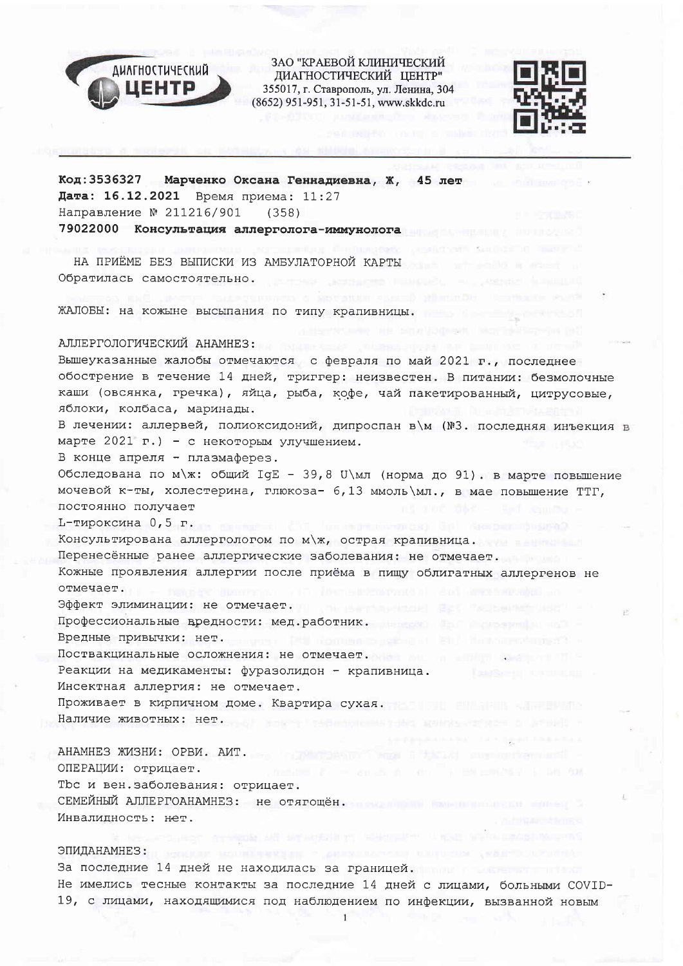

ЗАО "КРАЕВОЙ КЛИНИЧЕСКИЙ ДИАГНОСТИЧЕСКИЙ ЦЕНТР" 355017, г. Ставрополь, ул. Ленина, 304 (8652) 951-951, 31-51-51, www.skkdc.ru



Код: 3536327 Марченко Оксана Геннадиевна, Ж. 45 лет Дата: 16.12.2021 Время приема: 11:27 Направление № 211216/901  $(358)$ 79022000 Консультация аллерголога-иммунолога и полня по

НА ПРИЁМЕ БЕЗ ВЫПИСКИ ИЗ АМБУЛАТОРНОЙ КАРТЫ Обратилась самостоятельно.

ЖАЛОБЫ: на кожыне высыпания по типу крапивницы.

## АЛЛЕРГОЛОГИЧЕСКИЙ АНАМНЕЗ:

Вышеуказанные жалобы отмечаются с февраля по май 2021 г., последнее обострение в течение 14 дней, триггер: неизвестен. В питании: безмолочные каши (овсянка, гречка), яйца, рыба, кофе, чай пакетированный, цитрусовые, яблоки, колбаса, маринады.

В лечении: аллервей, полиоксидоний, дипроспан в\м (№3. последняя инъекция в марте 2021 г.) - с некоторым улучшением.

В конце апреля - плазмаферез.

Обследована по м\ж: общий IgE - 39,8 U\мл (норма до 91). в марте повышение мочевой к-ты, холестерина, глюкоза- 6,13 ммоль \мл., в мае повышение ТТГ, постоянно получает

L-тироксина 0,5 г.

Консультирована аллергологом по м\ж, острая крапивница.

Перенесённые ранее аллергические заболевания: не отмечает.

Кожные проявления аллергии после приёма в пищу облигатных аллергенов не отмечает.

Эффект элиминации: не отмечает.

Профессиональные вредности: мед.работник.

Вредные привычки: нет.

Поствакцинальные осложнения: не отмечает. Поствакцинальные осложнения: не отмечает.

Реакции на медикаменты: фуразолидон - крапивница.

Инсектная аллергия: не отмечает.

Проживает в кирпичном доме. Квартира сухая. Наличие животных: нет. Пользование животных: нет.

АНАМНЕЗ ЖИЗНИ: ОРВИ. АИТ. ОПЕРАЦИИ: отрицает. Tbc и вен. заболевания: отрицает. СЕМЕЙНЫЙ АЛЛЕРГОАНАМНЕЗ: не отягошён. Инвалидность: нет.

# ЭПИДАНАМНЕЗ:

За последние 14 дней не находилась за границей. Не имелись тесные контакты за последние 14 дней с лицами, больными COVID-19, с лицами, находящимися под наблюдением по инфекции, вызванной новым